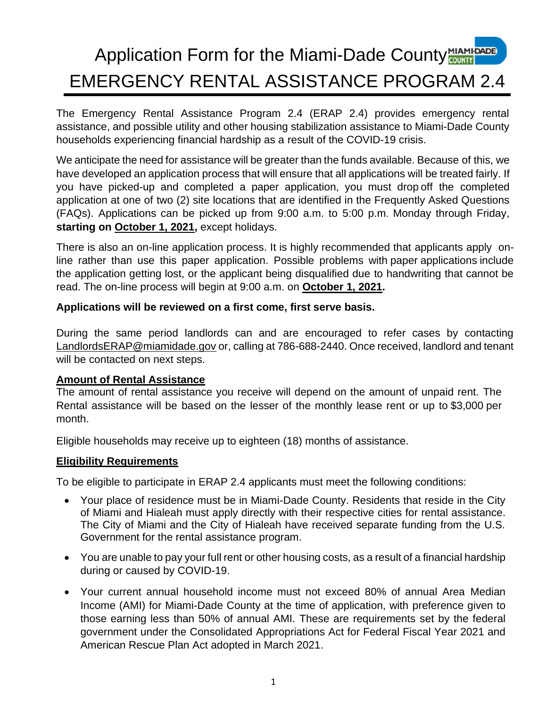# **Application Form for the Miami-Dade County MIAMI-DADE** EMERGENCY RENTAL ASSISTANCE PROGRAM 2.4

The Emergency Rental Assistance Program 2.4 (ERAP 2.4) provides emergency rental assistance, and possible utility and other housing stabilization assistance to Miami-Dade County households experiencing financial hardship as a result of the COVID-19 crisis.

We anticipate the need for assistance will be greater than the funds available. Because of this, we have developed an application process that will ensure that all applications will be treated fairly. If you have picked-up and completed a paper application, you must drop off the completed application at one of two (2) site locations that are identified in the Frequently Asked Questions (FAQs). Applications can be picked up from 9:00 a.m. to 5:00 p.m. Monday through Friday, **starting on October 1, 2021,** except holidays.

There is also an on-line application process. It is highly recommended that applicants apply online rather than use this paper application. Possible problems with paper applications include the application getting lost, or the applicant being disqualified due to handwriting that cannot be read. The on-line process will begin at 9:00 a.m. on **October 1, 2021.**

### **Applications will be reviewed on a first come, first serve basis.**

During the same period landlords can and are encouraged to refer cases by contacting [LandlordsERAP@miamidade.gov](mailto:LandlordsERAP@miamidade.gov) or, calling at 786-688-2440. Once received, landlord and tenant will be contacted on next steps.

### **Amount of Rental Assistance**

The amount of rental assistance you receive will depend on the amount of unpaid rent. The Rental assistance will be based on the lesser of the monthly lease rent or up to \$3,000 per month.

Eligible households may receive up to eighteen (18) months of assistance.

### **Eligibility Requirements**

To be eligible to participate in ERAP 2.4 applicants must meet the following conditions:

- Your place of residence must be in Miami-Dade County. Residents that reside in the City of Miami and Hialeah must apply directly with their respective cities for rental assistance. The City of Miami and the City of Hialeah have received separate funding from the U.S. Government for the rental assistance program.
- You are unable to pay your full rent or other housing costs, as a result of a financial hardship during or caused by COVID-19.
- Your current annual household income must not exceed 80% of annual Area Median Income (AMI) for Miami-Dade County at the time of application, with preference given to those earning less than 50% of annual AMI. These are requirements set by the federal government under the Consolidated Appropriations Act for Federal Fiscal Year 2021 and American Rescue Plan Act adopted in March 2021.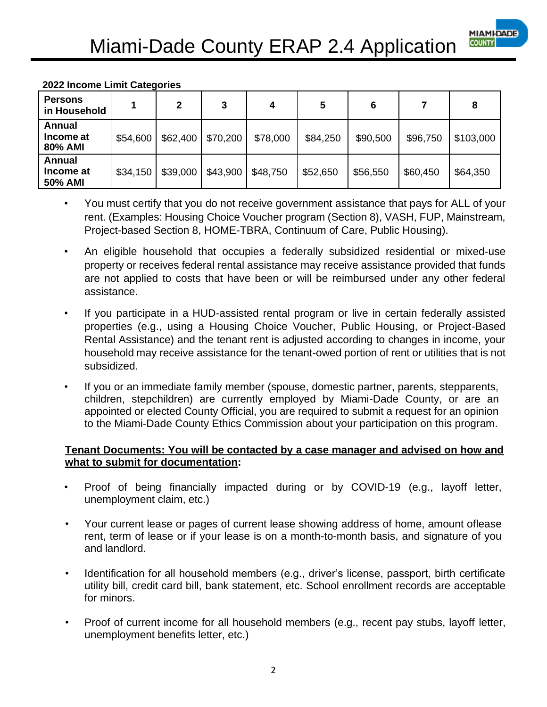

### **2022 Income Limit Categories**

| <b>Persons</b><br>in Household |          | $\mathbf{2}$ | 3        | 4        | 5        | 6        |          | 8         |
|--------------------------------|----------|--------------|----------|----------|----------|----------|----------|-----------|
| Annual<br>Income at<br>80% AMI | \$54,600 | \$62,400     | \$70,200 | \$78,000 | \$84,250 | \$90,500 | \$96,750 | \$103,000 |
| Annual<br>Income at<br>50% AMI | \$34,150 | \$39,000     | \$43,900 | \$48,750 | \$52,650 | \$56,550 | \$60,450 | \$64,350  |

- You must certify that you do not receive government assistance that pays for ALL of your rent. (Examples: Housing Choice Voucher program (Section 8), VASH, FUP, Mainstream, Project-based Section 8, HOME-TBRA, Continuum of Care, Public Housing).
- An eligible household that occupies a federally subsidized residential or mixed-use property or receives federal rental assistance may receive assistance provided that funds are not applied to costs that have been or will be reimbursed under any other federal assistance.
- If you participate in a HUD-assisted rental program or live in certain federally assisted properties (e.g., using a Housing Choice Voucher, Public Housing, or Project-Based Rental Assistance) and the tenant rent is adjusted according to changes in income, your household may receive assistance for the tenant-owed portion of rent or utilities that is not subsidized.
- If you or an immediate family member (spouse, domestic partner, parents, stepparents, children, stepchildren) are currently employed by Miami-Dade County, or are an appointed or elected County Official, you are required to submit a request for an opinion to the Miami-Dade County Ethics Commission about your participation on this program.

### **Tenant Documents: You will be contacted by a case manager and advised on how and what to submit for documentation:**

- Proof of being financially impacted during or by COVID-19 (e.g., layoff letter, unemployment claim, etc.)
- Your current lease or pages of current lease showing address of home, amount oflease rent, term of lease or if your lease is on a month-to-month basis, and signature of you and landlord.
- Identification for all household members (e.g., driver's license, passport, birth certificate utility bill, credit card bill, bank statement, etc. School enrollment records are acceptable for minors.
- Proof of current income for all household members (e.g., recent pay stubs, layoff letter, unemployment benefits letter, etc.)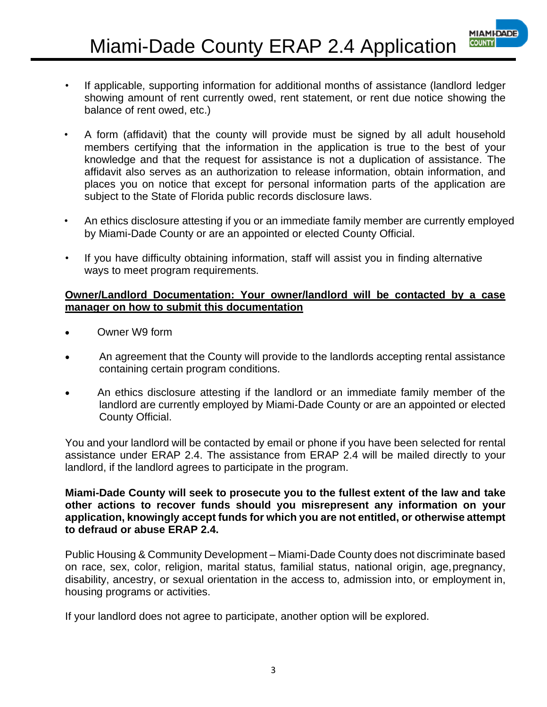• If applicable, supporting information for additional months of assistance (landlord ledger showing amount of rent currently owed, rent statement, or rent due notice showing the balance of rent owed, etc.)

**MIAMI-DADE COUNT** 

- A form (affidavit) that the county will provide must be signed by all adult household members certifying that the information in the application is true to the best of your knowledge and that the request for assistance is not a duplication of assistance. The affidavit also serves as an authorization to release information, obtain information, and places you on notice that except for personal information parts of the application are subject to the State of Florida public records disclosure laws.
- An ethics disclosure attesting if you or an immediate family member are currently employed by Miami-Dade County or are an appointed or elected County Official.
- If you have difficulty obtaining information, staff will assist you in finding alternative ways to meet program requirements.

#### **Owner/Landlord Documentation: Your owner/landlord will be contacted by a case manager on how to submit this documentation**

- Owner W9 form
- An agreement that the County will provide to the landlords accepting rental assistance containing certain program conditions.
- An ethics disclosure attesting if the landlord or an immediate family member of the landlord are currently employed by Miami-Dade County or are an appointed or elected County Official.

You and your landlord will be contacted by email or phone if you have been selected for rental assistance under ERAP 2.4. The assistance from ERAP 2.4 will be mailed directly to your landlord, if the landlord agrees to participate in the program.

**Miami-Dade County will seek to prosecute you to the fullest extent of the law and take other actions to recover funds should you misrepresent any information on your application, knowingly accept funds for which you are not entitled, or otherwise attempt to defraud or abuse ERAP 2.4.**

Public Housing & Community Development – Miami-Dade County does not discriminate based on race, sex, color, religion, marital status, familial status, national origin, age,pregnancy, disability, ancestry, or sexual orientation in the access to, admission into, or employment in, housing programs or activities.

If your landlord does not agree to participate, another option will be explored.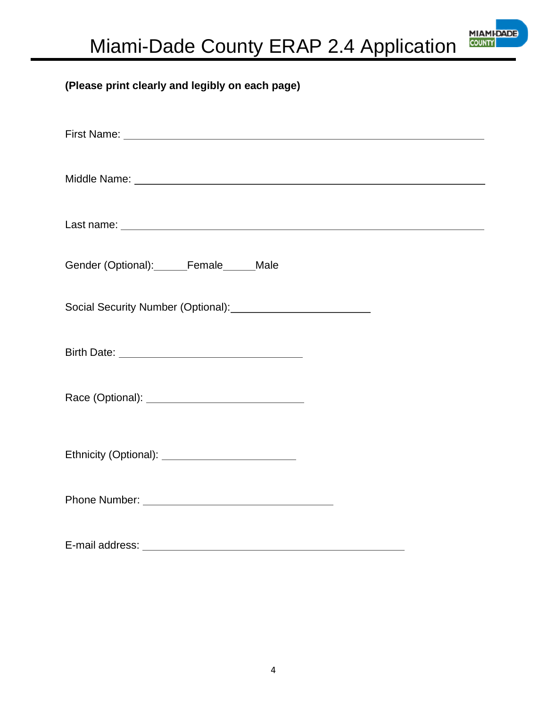

### **(Please print clearly and legibly on each page)**

| Gender (Optional):______Female______Male |
|------------------------------------------|
|                                          |
|                                          |
|                                          |
|                                          |
|                                          |
|                                          |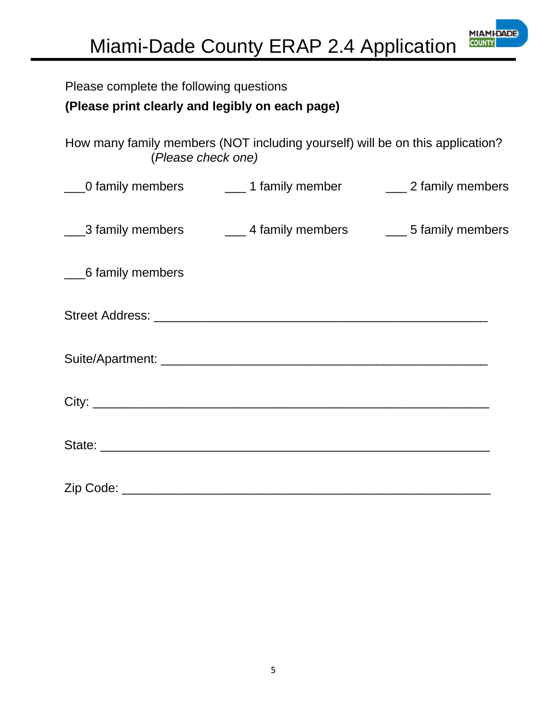

| Please complete the following questions         |                                                                                                     |  |
|-------------------------------------------------|-----------------------------------------------------------------------------------------------------|--|
| (Please print clearly and legibly on each page) |                                                                                                     |  |
|                                                 | How many family members (NOT including yourself) will be on this application?<br>(Please check one) |  |
|                                                 | ___0 family members _________1 family member ______________2 family members                         |  |
|                                                 | ___3 family members ________4 family members _______5 family members                                |  |
| 6 family members                                |                                                                                                     |  |
|                                                 |                                                                                                     |  |
|                                                 |                                                                                                     |  |
|                                                 |                                                                                                     |  |
|                                                 |                                                                                                     |  |
|                                                 |                                                                                                     |  |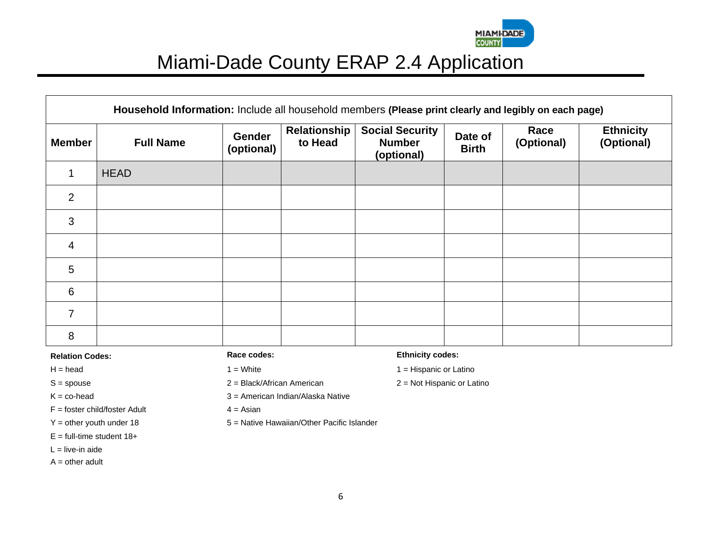

|                | Household Information: Include all household members (Please print clearly and legibly on each page) |                             |                         |                                                       |                         |                    |                                |
|----------------|------------------------------------------------------------------------------------------------------|-----------------------------|-------------------------|-------------------------------------------------------|-------------------------|--------------------|--------------------------------|
| <b>Member</b>  | <b>Full Name</b>                                                                                     | <b>Gender</b><br>(optional) | Relationship<br>to Head | <b>Social Security</b><br><b>Number</b><br>(optional) | Date of<br><b>Birth</b> | Race<br>(Optional) | <b>Ethnicity</b><br>(Optional) |
|                | <b>HEAD</b>                                                                                          |                             |                         |                                                       |                         |                    |                                |
| 2              |                                                                                                      |                             |                         |                                                       |                         |                    |                                |
| 3              |                                                                                                      |                             |                         |                                                       |                         |                    |                                |
| $\overline{4}$ |                                                                                                      |                             |                         |                                                       |                         |                    |                                |
| 5              |                                                                                                      |                             |                         |                                                       |                         |                    |                                |
| 6              |                                                                                                      |                             |                         |                                                       |                         |                    |                                |
| $\overline{7}$ |                                                                                                      |                             |                         |                                                       |                         |                    |                                |
| 8              |                                                                                                      |                             |                         |                                                       |                         |                    |                                |

 $F =$  foster child/foster Adult  $4 =$  Asian

- $E =$  full-time student 18+
- $L =$  live-in aide
- $A = other$  adult

S = spouse 2 = Black/African American 2 = Not Hispanic or Latino

 $K = co$ -head  $3 =$  American Indian/Alaska Native

 $Y =$  other youth under 18  $5 =$  Native Hawaiian/Other Pacific Islander

#### **Relation Codes: Race codes: Ethnicity codes:**

 $H = head$  1 = White 1 = White 1 = Month 1 = Hispanic or Latino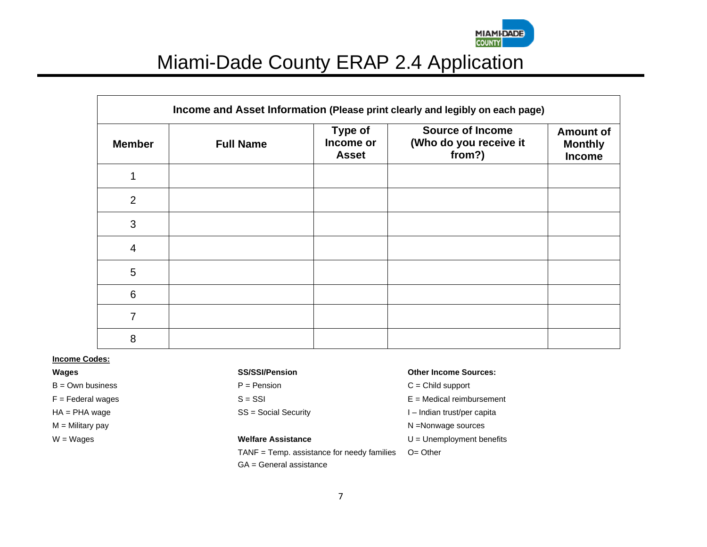

| Income and Asset Information (Please print clearly and legibly on each page) |                  |                                             |                                                             |                                              |  |  |
|------------------------------------------------------------------------------|------------------|---------------------------------------------|-------------------------------------------------------------|----------------------------------------------|--|--|
| <b>Member</b>                                                                | <b>Full Name</b> | <b>Type of</b><br>Income or<br><b>Asset</b> | <b>Source of Income</b><br>(Who do you receive it<br>from?) | <b>Amount of</b><br><b>Monthly</b><br>Income |  |  |
|                                                                              |                  |                                             |                                                             |                                              |  |  |
| $\overline{2}$                                                               |                  |                                             |                                                             |                                              |  |  |
| 3                                                                            |                  |                                             |                                                             |                                              |  |  |
| $\overline{4}$                                                               |                  |                                             |                                                             |                                              |  |  |
| 5                                                                            |                  |                                             |                                                             |                                              |  |  |
| 6                                                                            |                  |                                             |                                                             |                                              |  |  |
| 7                                                                            |                  |                                             |                                                             |                                              |  |  |
| 8                                                                            |                  |                                             |                                                             |                                              |  |  |

#### **Income Codes:**

- 
- 

TANF = Temp. assistance for needy families GA = General assistance

#### **Wages SS/SSI/Pension Other Income Sources:**

- B = Own business Text C = Child support C = Child support
- $F =$  Federal wages  $S =$  SSI  $F =$  Federal wages
- HA = PHA wage The SS = Social Security The SS = Social Security The Indian trust/per capita
- M = Military pay N =Nonwage sources

W = Wages **Welfare Assistance Welfare Assistance U** = Unemployment benefits

O= Other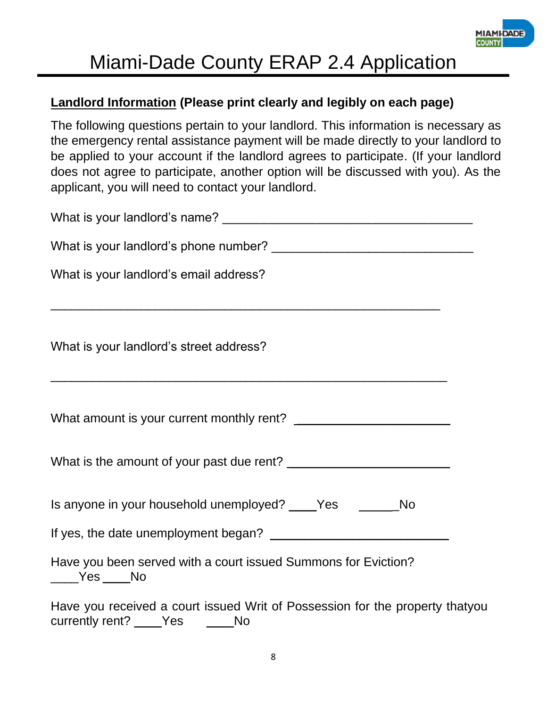

## **Landlord Information (Please print clearly and legibly on each page)**

The following questions pertain to your landlord. This information is necessary as the emergency rental assistance payment will be made directly to your landlord to be applied to your account if the landlord agrees to participate. (If your landlord does not agree to participate, another option will be discussed with you). As the applicant, you will need to contact your landlord.

| What is your landlord's email address?                                                                                                                          |
|-----------------------------------------------------------------------------------------------------------------------------------------------------------------|
| What is your landlord's street address?<br><u> 2000 - 2000 - 2000 - 2000 - 2000 - 2000 - 2000 - 2000 - 2000 - 2000 - 2000 - 2000 - 2000 - 2000 - 2000 - 200</u> |
|                                                                                                                                                                 |
|                                                                                                                                                                 |
| Is anyone in your household unemployed? _____Yes ___________No                                                                                                  |
|                                                                                                                                                                 |
| Have you been served with a court issued Summons for Eviction?<br>$\rule{1em}{0.15mm}$ $\frac{\text{Yes}}{\text{Yes}}$ No                                       |
| Have you received a court issued Writ of Possession for the property thatyou<br>currently rent? ____Yes ____No                                                  |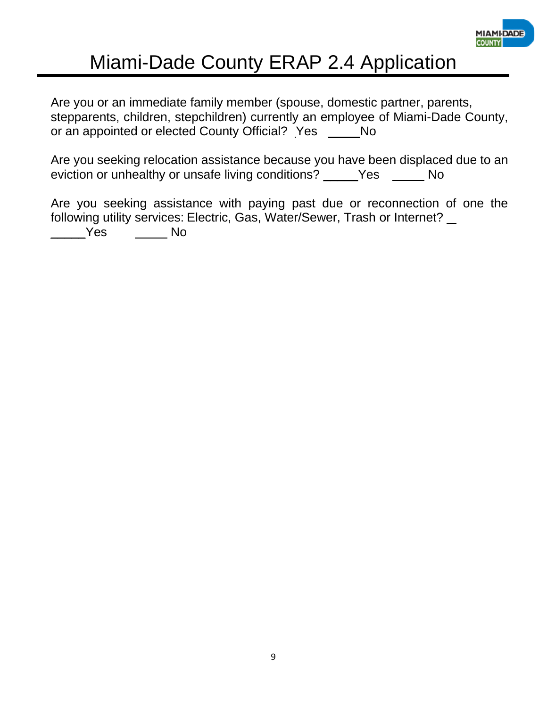

Are you or an immediate family member (spouse, domestic partner, parents, stepparents, children, stepchildren) currently an employee of Miami-Dade County, or an appointed or elected County Official? Yes \_\_\_\_\_\_ No

Are you seeking relocation assistance because you have been displaced due to an eviction or unhealthy or unsafe living conditions? \_\_\_\_\_Yes No

Are you seeking assistance with paying past due or reconnection of one the following utility services: Electric, Gas, Water/Sewer, Trash or Internet?

\_\_\_\_\_Yes No